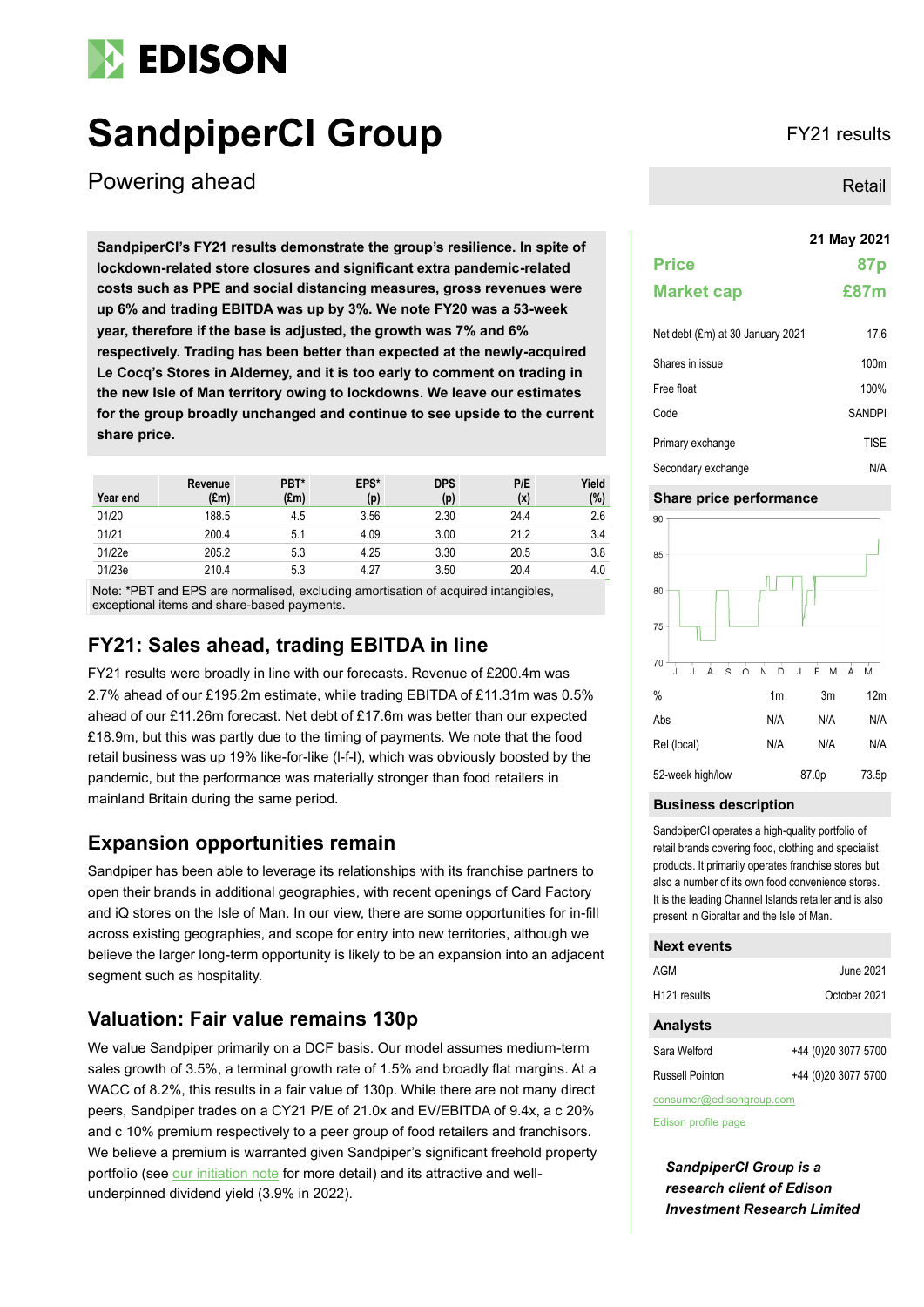# **EDISON**

# **SandpiperCI Group** FY21 results

Powering ahead

**21 May 2021 SandpiperCI's FY21 results demonstrate the group's resilience. In spite of lockdown-related store closures and significant extra pandemic-related costs such as PPE and social distancing measures, gross revenues were up 6% and trading EBITDA was up by 3%. We note FY20 was a 53-week year, therefore if the base is adjusted, the growth was 7% and 6% respectively. Trading has been better than expected at the newly-acquired Le Cocq's Stores in Alderney, and it is too early to comment on trading in the new Isle of Man territory owing to lockdowns. We leave our estimates for the group broadly unchanged and continue to see upside to the current share price.**

| Year end | Revenue<br>$(\text{Em})$ | PBT*<br>$(\text{Em})$ | EPS*<br>(p) | <b>DPS</b><br>(p) | P/E<br>(x) | Yield<br>$(\%)$ |
|----------|--------------------------|-----------------------|-------------|-------------------|------------|-----------------|
| 01/20    | 188.5                    | 4.5                   | 3.56        | 2.30              | 24.4       | 2.6             |
| 01/21    | 200.4                    | 5.1                   | 4.09        | 3.00              | 21.2       | 3.4             |
| 01/22e   | 205.2                    | 5.3                   | 4.25        | 3.30              | 20.5       | 3.8             |
| 01/23e   | 210.4                    | 5.3                   | 4.27        | 3.50              | 20.4       | 4.0             |

Note: \*PBT and EPS are normalised, excluding amortisation of acquired intangibles, exceptional items and share-based payments.

## **FY21: Sales ahead, trading EBITDA in line**

FY21 results were broadly in line with our forecasts. Revenue of £200.4m was 2.7% ahead of our £195.2m estimate, while trading EBITDA of £11.31m was 0.5% ahead of our £11.26m forecast. Net debt of £17.6m was better than our expected £18.9m, but this was partly due to the timing of payments. We note that the food retail business was up 19% like-for-like (l-f-l), which was obviously boosted by the pandemic, but the performance was materially stronger than food retailers in mainland Britain during the same period.

### **Expansion opportunities remain**

Sandpiper has been able to leverage its relationships with its franchise partners to open their brands in additional geographies, with recent openings of Card Factory and iQ stores on the Isle of Man. In our view, there are some opportunities for in-fill across existing geographies, and scope for entry into new territories, although we believe the larger long-term opportunity is likely to be an expansion into an adjacent segment such as hospitality.

### **Valuation: Fair value remains 130p**

We value Sandpiper primarily on a DCF basis. Our model assumes medium-term sales growth of 3.5%, a terminal growth rate of 1.5% and broadly flat margins. At a WACC of 8.2%, this results in a fair value of 130p. While there are not many direct peers, Sandpiper trades on a CY21 P/E of 21.0x and EV/EBITDA of 9.4x, a c 20% and c 10% premium respectively to a peer group of food retailers and franchisors. We believe a premium is warranted given Sandpiper's significant freehold property portfolio (see [our initiation note](https://www.edisongroup.com/publication/an-island-of-opportunity-2/28640/) for more detail) and its attractive and wellunderpinned dividend yield (3.9% in 2022).

Retail

|                   | 21 May 2021     |
|-------------------|-----------------|
| <b>Price</b>      | 87 <sub>p</sub> |
| <b>Market cap</b> | £87m            |
|                   |                 |

| Net debt (£m) at 30 January 2021 | 17.6             |
|----------------------------------|------------------|
| Shares in issue                  | 100 <sub>m</sub> |
| Free float                       | 100%             |
| Code                             | <b>SANDPI</b>    |
| Primary exchange                 | <b>TISE</b>      |
| Secondary exchange               | N/A              |

### **Share price performance**



### **Business description**

SandpiperCI operates a high-quality portfolio of retail brands covering food, clothing and specialist products. It primarily operates franchise stores but also a number of its own food convenience stores. It is the leading Channel Islands retailer and is also present in Gibraltar and the Isle of Man.

### **Next events**

| AGM                      | June 2021           |
|--------------------------|---------------------|
| H <sub>121</sub> results | October 2021        |
| <b>Analysts</b>          |                     |
| Sara Welford             | +44 (0)20 3077 5700 |

| sara vveltoru   | $+44$ (U) ZU 3U I 1 5 I UU |
|-----------------|----------------------------|
| Russell Pointon | +44 (0)20 3077 5700        |

consumer@edisongroup.com

[Edison profile page](https://www.edisongroup.com/company/sandpiperci-group/2975)

*SandpiperCI Group is a research client of Edison Investment Research Limited*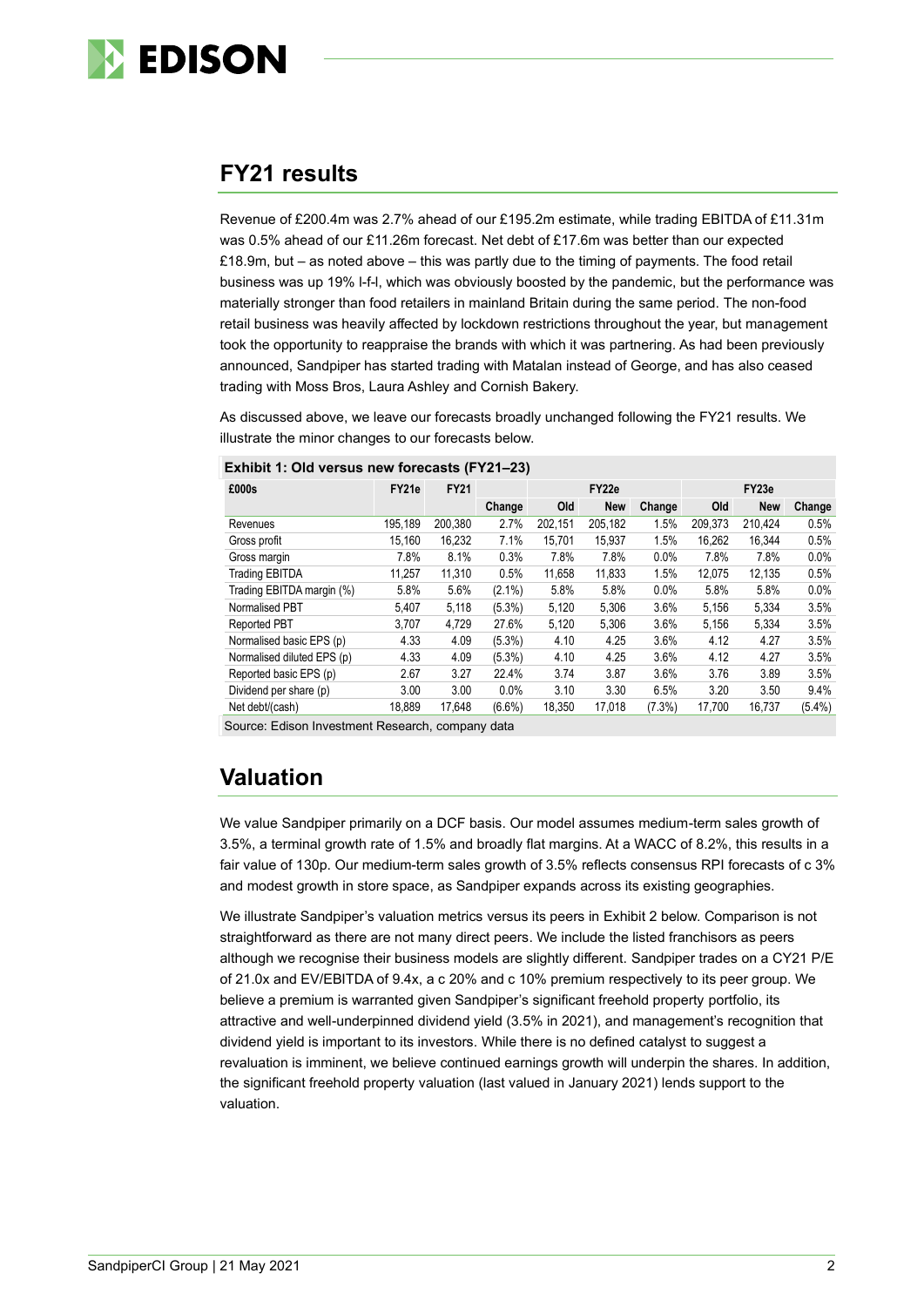

## **FY21 results**

Revenue of £200.4m was 2.7% ahead of our £195.2m estimate, while trading EBITDA of £11.31m was 0.5% ahead of our £11.26m forecast. Net debt of £17.6m was better than our expected £18.9m, but – as noted above – this was partly due to the timing of payments. The food retail business was up 19% l-f-l, which was obviously boosted by the pandemic, but the performance was materially stronger than food retailers in mainland Britain during the same period. The non-food retail business was heavily affected by lockdown restrictions throughout the year, but management took the opportunity to reappraise the brands with which it was partnering. As had been previously announced, Sandpiper has started trading with Matalan instead of George, and has also ceased trading with Moss Bros, Laura Ashley and Cornish Bakery.

As discussed above, we leave our forecasts broadly unchanged following the FY21 results. We illustrate the minor changes to our forecasts below.

| £000s                      | FY21e   | <b>FY21</b> |           |         | FY22e      | FY23e     |         |            |           |
|----------------------------|---------|-------------|-----------|---------|------------|-----------|---------|------------|-----------|
|                            |         |             | Change    | Old     | <b>New</b> | Change    | Old     | <b>New</b> | Change    |
| Revenues                   | 195,189 | 200,380     | 2.7%      | 202.151 | 205,182    | 1.5%      | 209,373 | 210.424    | 0.5%      |
| Gross profit               | 15,160  | 16.232      | 7.1%      | 15,701  | 15,937     | 1.5%      | 16.262  | 16.344     | 0.5%      |
| Gross margin               | 7.8%    | 8.1%        | 0.3%      | 7.8%    | 7.8%       | 0.0%      | 7.8%    | 7.8%       | $0.0\%$   |
| <b>Trading EBITDA</b>      | 11.257  | 11.310      | 0.5%      | 11.658  | 11,833     | 1.5%      | 12.075  | 12.135     | 0.5%      |
| Trading EBITDA margin (%)  | 5.8%    | 5.6%        | $(2.1\%)$ | 5.8%    | 5.8%       | 0.0%      | 5.8%    | 5.8%       | 0.0%      |
| Normalised PBT             | 5.407   | 5,118       | $(5.3\%)$ | 5,120   | 5,306      | 3.6%      | 5,156   | 5,334      | 3.5%      |
| <b>Reported PBT</b>        | 3.707   | 4.729       | 27.6%     | 5,120   | 5.306      | 3.6%      | 5,156   | 5.334      | 3.5%      |
| Normalised basic EPS (p)   | 4.33    | 4.09        | $(5.3\%)$ | 4.10    | 4.25       | 3.6%      | 4.12    | 4.27       | 3.5%      |
| Normalised diluted EPS (p) | 4.33    | 4.09        | $(5.3\%)$ | 4.10    | 4.25       | 3.6%      | 4.12    | 4.27       | 3.5%      |
| Reported basic EPS (p)     | 2.67    | 3.27        | 22.4%     | 3.74    | 3.87       | 3.6%      | 3.76    | 3.89       | 3.5%      |
| Dividend per share (p)     | 3.00    | 3.00        | 0.0%      | 3.10    | 3.30       | 6.5%      | 3.20    | 3.50       | 9.4%      |
| Net debt/(cash)            | 18.889  | 17.648      | $(6.6\%)$ | 18,350  | 17,018     | $(7.3\%)$ | 17.700  | 16.737     | $(5.4\%)$ |

Source: Edison Investment Research, company data

# **Valuation**

We value Sandpiper primarily on a DCF basis. Our model assumes medium-term sales growth of 3.5%, a terminal growth rate of 1.5% and broadly flat margins. At a WACC of 8.2%, this results in a fair value of 130p. Our medium-term sales growth of 3.5% reflects consensus RPI forecasts of c 3% and modest growth in store space, as Sandpiper expands across its existing geographies.

We illustrate Sandpiper's valuation metrics versus its peers in [Exhibit 2](#page-2-0) below. Comparison is not straightforward as there are not many direct peers. We include the listed franchisors as peers although we recognise their business models are slightly different. Sandpiper trades on a CY21 P/E of 21.0x and EV/EBITDA of 9.4x, a c 20% and c 10% premium respectively to its peer group. We believe a premium is warranted given Sandpiper's significant freehold property portfolio, its attractive and well-underpinned dividend yield (3.5% in 2021), and management's recognition that dividend yield is important to its investors. While there is no defined catalyst to suggest a revaluation is imminent, we believe continued earnings growth will underpin the shares. In addition, the significant freehold property valuation (last valued in January 2021) lends support to the valuation.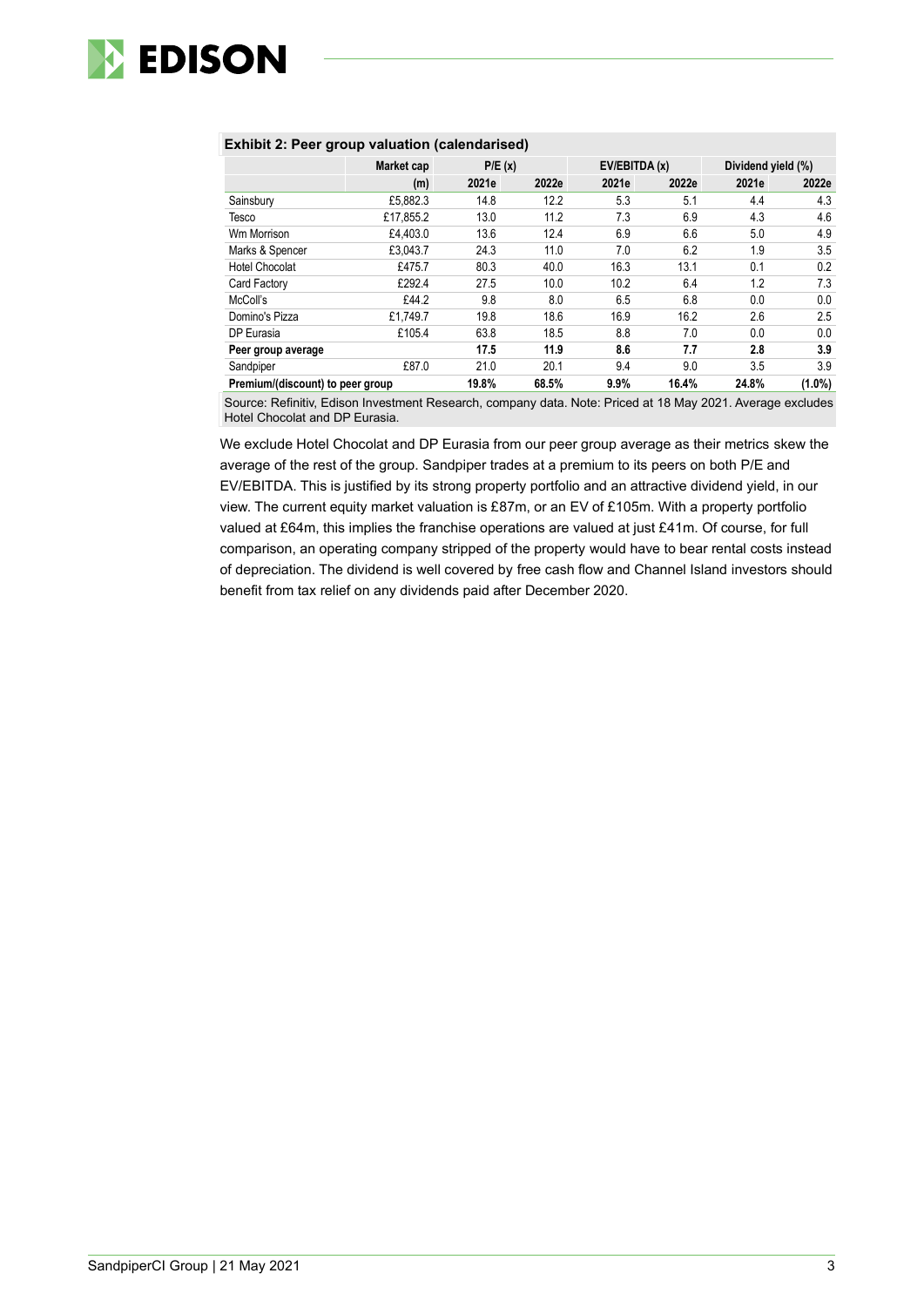

### <span id="page-2-0"></span>**Exhibit 2: Peer group valuation (calendarised)**

|                                  | Market cap | P/E(x) |       | EV/EBITDA (x) |       | Dividend yield (%) |           |  |
|----------------------------------|------------|--------|-------|---------------|-------|--------------------|-----------|--|
|                                  | (m)        | 2021e  | 2022e | 2021e         | 2022e | 2021e              | 2022e     |  |
| Sainsbury                        | £5.882.3   | 14.8   | 12.2  | 5.3           | 5.1   | 4.4                | 4.3       |  |
| Tesco                            | £17.855.2  | 13.0   | 11.2  | 7.3           | 6.9   | 4.3                | 4.6       |  |
| Wm Morrison                      | £4.403.0   | 13.6   | 12.4  | 6.9           | 6.6   | 5.0                | 4.9       |  |
| Marks & Spencer                  | £3,043.7   | 24.3   | 11.0  | 7.0           | 6.2   | 1.9                | 3.5       |  |
| Hotel Chocolat                   | £475.7     | 80.3   | 40.0  | 16.3          | 13.1  | 0.1                | 0.2       |  |
| Card Factory                     | £292.4     | 27.5   | 10.0  | 10.2          | 6.4   | 1.2                | 7.3       |  |
| McColl's                         | £44.2      | 9.8    | 8.0   | 6.5           | 6.8   | 0.0                | 0.0       |  |
| Domino's Pizza                   | £1.749.7   | 19.8   | 18.6  | 16.9          | 16.2  | 2.6                | $2.5\,$   |  |
| DP Eurasia                       | £105.4     | 63.8   | 18.5  | 8.8           | 7.0   | 0.0                | 0.0       |  |
| Peer group average               |            | 17.5   | 11.9  | 8.6           | 7.7   | 2.8                | 3.9       |  |
| Sandpiper                        | £87.0      | 21.0   | 20.1  | 9.4           | 9.0   | 3.5                | 3.9       |  |
| Premium/(discount) to peer group |            | 19.8%  | 68.5% | 9.9%          | 16.4% | 24.8%              | $(1.0\%)$ |  |

Source: Refinitiv, Edison Investment Research, company data. Note: Priced at 18 May 2021. Average excludes Hotel Chocolat and DP Eurasia.

We exclude Hotel Chocolat and DP Eurasia from our peer group average as their metrics skew the average of the rest of the group. Sandpiper trades at a premium to its peers on both P/E and EV/EBITDA. This is justified by its strong property portfolio and an attractive dividend yield, in our view. The current equity market valuation is £87m, or an EV of £105m. With a property portfolio valued at £64m, this implies the franchise operations are valued at just £41m. Of course, for full comparison, an operating company stripped of the property would have to bear rental costs instead of depreciation. The dividend is well covered by free cash flow and Channel Island investors should benefit from tax relief on any dividends paid after December 2020.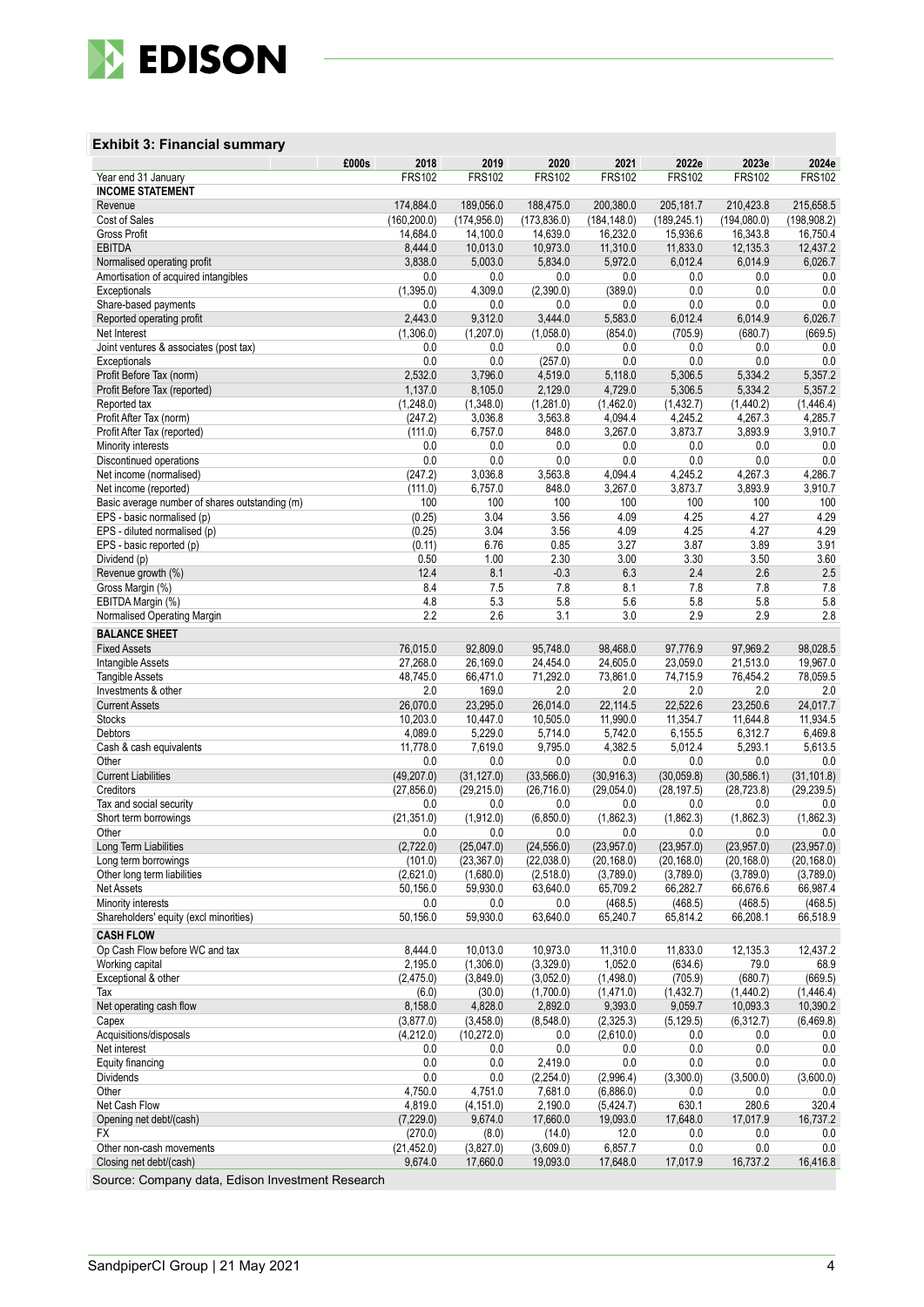

### **Exhibit 3: Financial summary**

|                                                          | £000s        | 2018                   | 2019                      | 2020                      | 2021                      | 2022e                     | 2023e                     | 2024e                      |
|----------------------------------------------------------|--------------|------------------------|---------------------------|---------------------------|---------------------------|---------------------------|---------------------------|----------------------------|
| Year end 31 January                                      |              | <b>FRS102</b>          | <b>FRS102</b>             | <b>FRS102</b>             | <b>FRS102</b>             | <b>FRS102</b>             | <b>FRS102</b>             | <b>FRS102</b>              |
| <b>INCOME STATEMENT</b><br>Revenue                       |              | 174,884.0              | 189,056.0                 | 188,475.0                 | 200,380.0                 | 205,181.7                 | 210,423.8                 | 215,658.5                  |
| Cost of Sales                                            | (160, 200.0) |                        | (174, 956.0)              | (173, 836.0)              | (184, 148.0)              | (189, 245.1)              | (194,080.0)               | (198,908.2)                |
| Gross Profit                                             |              | 14,684.0               | 14,100.0                  | 14,639.0                  | 16,232.0                  | 15,936.6                  | 16,343.8                  | 16,750.4                   |
| <b>EBITDA</b>                                            |              | 8,444.0                | 10,013.0                  | 10,973.0                  | 11,310.0                  | 11,833.0                  | 12,135.3                  | 12,437.2                   |
| Normalised operating profit                              |              | 3,838.0                | 5,003.0                   | 5,834.0                   | 5,972.0                   | 6,012.4                   | 6,014.9                   | 6,026.7                    |
| Amortisation of acquired intangibles                     |              | 0.0<br>(1,395.0)       | 0.0<br>4,309.0            | 0.0<br>(2,390.0)          | 0.0<br>(389.0)            | 0.0<br>0.0                | 0.0<br>0.0                | 0.0<br>0.0                 |
| Exceptionals<br>Share-based payments                     |              | 0.0                    | 0.0                       | 0.0                       | 0.0                       | 0.0                       | 0.0                       | 0.0                        |
| Reported operating profit                                |              | 2,443.0                | 9,312.0                   | 3,444.0                   | 5,583.0                   | 6,012.4                   | 6,014.9                   | 6,026.7                    |
| Net Interest                                             |              | (1,306.0)              | (1,207.0)                 | (1,058.0)                 | (854.0)                   | (705.9)                   | (680.7)                   | (669.5)                    |
| Joint ventures & associates (post tax)                   |              | 0.0                    | 0.0                       | 0.0                       | 0.0                       | 0.0                       | 0.0                       | 0.0                        |
| Exceptionals                                             |              | 0.0                    | 0.0                       | (257.0)                   | 0.0                       | 0.0                       | 0.0                       | 0.0                        |
| Profit Before Tax (norm)<br>Profit Before Tax (reported) |              | 2,532.0<br>1,137.0     | 3,796.0<br>8,105.0        | 4,519.0<br>2,129.0        | 5,118.0<br>4,729.0        | 5,306.5<br>5,306.5        | 5,334.2<br>5,334.2        | 5,357.2<br>5,357.2         |
| Reported tax                                             |              | (1,248.0)              | (1,348.0)                 | (1,281.0)                 | (1,462.0)                 | (1, 432.7)                | (1,440.2)                 | (1,446.4)                  |
| Profit After Tax (norm)                                  |              | (247.2)                | 3,036.8                   | 3,563.8                   | 4,094.4                   | 4,245.2                   | 4,267.3                   | 4,285.7                    |
| Profit After Tax (reported)                              |              | (111.0)                | 6,757.0                   | 848.0                     | 3,267.0                   | 3,873.7                   | 3,893.9                   | 3,910.7                    |
| Minority interests                                       |              | 0.0                    | 0.0                       | 0.0                       | 0.0                       | 0.0                       | 0.0                       | 0.0                        |
| Discontinued operations                                  |              | 0.0                    | 0.0                       | 0.0<br>3,563.8            | 0.0<br>4,094.4            | 0.0<br>4.245.2            | 0.0<br>4,267.3            | 0.0<br>4,286.7             |
| Net income (normalised)<br>Net income (reported)         |              | (247.2)<br>(111.0)     | 3,036.8<br>6,757.0        | 848.0                     | 3,267.0                   | 3,873.7                   | 3,893.9                   | 3,910.7                    |
| Basic average number of shares outstanding (m)           |              | 100                    | 100                       | 100                       | 100                       | 100                       | 100                       | 100                        |
| EPS - basic normalised (p)                               |              | (0.25)                 | 3.04                      | 3.56                      | 4.09                      | 4.25                      | 4.27                      | 4.29                       |
| EPS - diluted normalised (p)                             |              | (0.25)                 | 3.04                      | 3.56                      | 4.09                      | 4.25                      | 4.27                      | 4.29                       |
| EPS - basic reported (p)                                 |              | (0.11)                 | 6.76                      | 0.85                      | 3.27                      | 3.87                      | 3.89                      | 3.91                       |
| Dividend (p)<br>Revenue growth (%)                       |              | 0.50<br>12.4           | 1.00<br>8.1               | 2.30<br>$-0.3$            | 3.00<br>6.3               | 3.30<br>2.4               | 3.50<br>2.6               | 3.60<br>2.5                |
| Gross Margin (%)                                         |              | 8.4                    | 7.5                       | 7.8                       | 8.1                       | 7.8                       | 7.8                       | 7.8                        |
| EBITDA Margin (%)                                        |              | 4.8                    | 5.3                       | 5.8                       | 5.6                       | 5.8                       | 5.8                       | 5.8                        |
| Normalised Operating Margin                              |              | 2.2                    | 2.6                       | 3.1                       | 3.0                       | 2.9                       | 2.9                       | 2.8                        |
| <b>BALANCE SHEET</b>                                     |              |                        |                           |                           |                           |                           |                           |                            |
| <b>Fixed Assets</b>                                      |              | 76,015.0               | 92,809.0                  | 95,748.0                  | 98,468.0                  | 97,776.9                  | 97,969.2                  | 98,028.5                   |
| Intangible Assets                                        |              | 27,268.0               | 26,169.0                  | 24,454.0                  | 24,605.0                  | 23,059.0                  | 21,513.0                  | 19,967.0                   |
| <b>Tangible Assets</b><br>Investments & other            |              | 48,745.0<br>2.0        | 66,471.0<br>169.0         | 71,292.0<br>2.0           | 73,861.0<br>2.0           | 74,715.9<br>2.0           | 76,454.2<br>2.0           | 78,059.5<br>2.0            |
| <b>Current Assets</b>                                    |              | 26,070.0               | 23,295.0                  | 26,014.0                  | 22,114.5                  | 22,522.6                  | 23,250.6                  | 24,017.7                   |
| <b>Stocks</b>                                            |              | 10,203.0               | 10,447.0                  | 10,505.0                  | 11,990.0                  | 11,354.7                  | 11,644.8                  | 11,934.5                   |
| Debtors                                                  |              | 4,089.0                | 5,229.0                   | 5,714.0                   | 5,742.0                   | 6,155.5                   | 6,312.7                   | 6,469.8                    |
| Cash & cash equivalents                                  |              | 11,778.0               | 7,619.0                   | 9,795.0                   | 4,382.5                   | 5,012.4                   | 5,293.1                   | 5,613.5                    |
| Other<br><b>Current Liabilities</b>                      |              | 0.0<br>(49, 207.0)     | 0.0<br>(31, 127.0)        | 0.0<br>(33, 566.0)        | 0.0<br>(30, 916.3)        | 0.0<br>(30,059.8)         | 0.0<br>(30, 586.1)        | 0.0<br>(31, 101.8)         |
| Creditors                                                |              | (27, 856.0)            | (29, 215.0)               | (26, 716.0)               | (29.054.0)                | (28, 197.5)               | (28, 723.8)               | (29.239.5)                 |
| Tax and social security                                  |              | 0.0                    | 0.0                       | 0.0                       | 0.0                       | 0.0                       | 0.0                       | 0.0                        |
| Short term borrowings                                    |              | (21, 351.0)            | (1,912.0)                 | (6,850.0)                 | (1,862.3)                 | (1,862.3)                 | (1.862.3)                 | (1,862.3)                  |
| Other                                                    |              | 0.0                    | 0.0                       | 0.0                       | 0.0                       | 0.0                       | 0.0                       | 0.0                        |
| Long Term Liabilities<br>Long term borrowings            |              | (2,722.0)<br>(101.0)   | (25,047.0)<br>(23, 367.0) | (24, 556.0)<br>(22,038.0) | (23,957.0)<br>(20, 168.0) | (23,957.0)<br>(20, 168.0) | (23,957.0)<br>(20, 168.0) | (23, 957.0)<br>(20, 168.0) |
| Other long term liabilities                              |              | (2,621.0)              | (1,680.0)                 | (2,518.0)                 | (3,789.0)                 | (3,789.0)                 | (3,789.0)                 | (3,789.0)                  |
| <b>Net Assets</b>                                        |              | 50,156.0               | 59,930.0                  | 63,640.0                  | 65,709.2                  | 66,282.7                  | 66,676.6                  | 66,987.4                   |
| Minority interests                                       |              | 0.0                    | 0.0                       | 0.0                       | (468.5)                   | (468.5)                   | (468.5)                   | (468.5)                    |
| Shareholders' equity (excl minorities)                   |              | 50,156.0               | 59,930.0                  | 63,640.0                  | 65,240.7                  | 65,814.2                  | 66,208.1                  | 66,518.9                   |
| <b>CASH FLOW</b>                                         |              |                        |                           |                           |                           |                           |                           |                            |
| Op Cash Flow before WC and tax                           |              | 8,444.0                | 10,013.0<br>(1,306.0)     | 10,973.0                  | 11,310.0                  | 11,833.0                  | 12,135.3                  | 12,437.2                   |
| Working capital<br>Exceptional & other                   |              | 2,195.0<br>(2,475.0)   | (3,849.0)                 | (3,329.0)<br>(3,052.0)    | 1,052.0<br>(1,498.0)      | (634.6)<br>(705.9)        | 79.0<br>(680.7)           | 68.9<br>(669.5)            |
| Tax                                                      |              | (6.0)                  | (30.0)                    | (1,700.0)                 | (1,471.0)                 | (1,432.7)                 | (1,440.2)                 | (1,446.4)                  |
| Net operating cash flow                                  |              | 8,158.0                | 4,828.0                   | 2,892.0                   | 9,393.0                   | 9,059.7                   | 10,093.3                  | 10,390.2                   |
| Capex                                                    |              | (3,877.0)              | (3,458.0)                 | (8,548.0)                 | (2,325.3)                 | (5, 129.5)                | (6,312.7)                 | (6, 469.8)                 |
| Acquisitions/disposals                                   |              | (4,212.0)              | (10, 272.0)               | 0.0                       | (2,610.0)                 | 0.0                       | 0.0                       | 0.0                        |
| Net interest                                             |              | 0.0<br>0.0             | 0.0                       | 0.0                       | 0.0<br>0.0                | 0.0<br>0.0                | 0.0<br>0.0                | 0.0<br>0.0                 |
| Equity financing<br>Dividends                            |              | 0.0                    | 0.0<br>0.0                | 2,419.0<br>(2,254.0)      | (2,996.4)                 | (3,300.0)                 | (3,500.0)                 | (3,600.0)                  |
| Other                                                    |              | 4,750.0                | 4,751.0                   | 7,681.0                   | (6,886.0)                 | 0.0                       | 0.0                       | 0.0                        |
| Net Cash Flow                                            |              | 4,819.0                | (4, 151.0)                | 2,190.0                   | (5,424.7)                 | 630.1                     | 280.6                     | 320.4                      |
| Opening net debt/(cash)                                  |              | (7, 229.0)             | 9,674.0                   | 17,660.0                  | 19,093.0                  | 17,648.0                  | 17,017.9                  | 16,737.2                   |
| FX                                                       |              | (270.0)                | (8.0)                     | (14.0)                    | 12.0                      | 0.0                       | 0.0                       | 0.0                        |
| Other non-cash movements<br>Closing net debt/(cash)      |              | (21, 452.0)<br>9,674.0 | (3,827.0)<br>17,660.0     | (3,609.0)<br>19,093.0     | 6,857.7<br>17,648.0       | 0.0<br>17,017.9           | 0.0<br>16,737.2           | 0.0<br>16,416.8            |
|                                                          |              |                        |                           |                           |                           |                           |                           |                            |

Source: Company data, Edison Investment Research